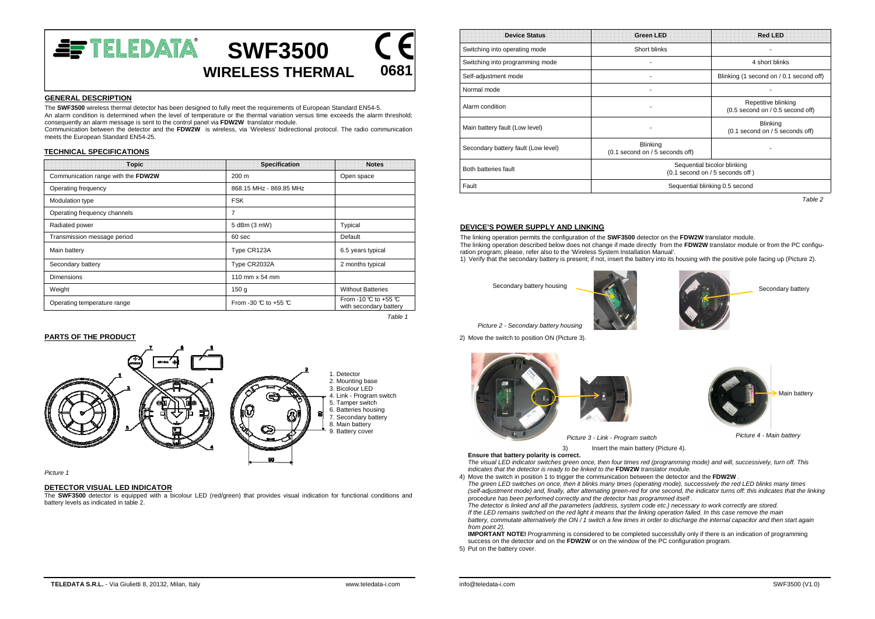

### **GENERAL DESCRIPTION**

 The **SWF3500** wireless thermal detector has been designed to fully meet the requirements of European Standard EN54-5. An alarm condition is determined when the level of temperature or the thermal variation versus time exceeds the alarm threshold; consequently an alarm message is sent to the control panel via **FDW2W** translator module.

 Communication between the detector and the **FDW2W** is wireless, via 'Wireless' bidirectional protocol. The radio communication meets the European Standard EN54-25.

# **TECHNICAL SPECIFICATIONS**

| <b>Topic</b>                       | <b>Specification</b>                    | <b>Notes</b>                                                    |
|------------------------------------|-----------------------------------------|-----------------------------------------------------------------|
| Communication range with the FDW2W | 200 m                                   | Open space                                                      |
| Operating frequency                | 868.15 MHz - 869.85 MHz                 |                                                                 |
| Modulation type                    | <b>FSK</b>                              |                                                                 |
| Operating frequency channels       | 7                                       |                                                                 |
| Radiated power                     | 5 dBm (3 mW)                            | Typical                                                         |
| Transmission message period        | 60 sec                                  | Default                                                         |
| Main battery                       | Type CR123A                             | 6.5 years typical                                               |
| Secondary battery                  | Type CR2032A                            | 2 months typical                                                |
| Dimensions                         | 110 mm x 54 mm                          |                                                                 |
| Weight                             | 150 <sub>g</sub>                        | <b>Without Batteries</b>                                        |
| Operating temperature range        | From -30 $\mathbb C$ to +55 $\mathbb C$ | From -10 $\degree$ to +55 $\degree$ C<br>with secondary battery |

Table 1

### **PARTS OF THE PRODUCT**



Picture 1

### **DETECTOR VISUAL LED INDICATOR**

 The **SWF3500** detector is equipped with a bicolour LED (red/green) that provides visual indication for functional conditions and battery levels as indicated in table 2.

| <b>Device Status</b>                | <b>Green LED</b>                                               | <b>Red LED</b>                                          |  |
|-------------------------------------|----------------------------------------------------------------|---------------------------------------------------------|--|
| Switching into operating mode       | Short blinks                                                   |                                                         |  |
| Switching into programming mode     |                                                                | 4 short blinks                                          |  |
| Self-adjustment mode                |                                                                | Blinking (1 second on / 0.1 second off)                 |  |
| Normal mode                         |                                                                |                                                         |  |
| Alarm condition                     |                                                                | Repetitive blinking<br>(0.5 second on / 0.5 second off) |  |
| Main battery fault (Low level)      |                                                                | <b>Blinking</b><br>(0.1 second on / 5 seconds off)      |  |
| Secondary battery fault (Low level) | Blinking<br>(0.1 second on / 5 seconds off)                    |                                                         |  |
| Both batteries fault                | Sequential bicolor blinking<br>(0.1 second on / 5 seconds off) |                                                         |  |
| Fault                               | Sequential blinking 0.5 second                                 |                                                         |  |
|                                     |                                                                | Table 2                                                 |  |

# **DEVICE'S POWER SUPPLY AND LINKING**

 The linking operation permits the configuration of the **SWF3500** detector on the **FDW2W** translator module. The linking operation described below does not change if made directly from the **FDW2W** translator module or from the PC configuration program; please, refer also to the 'Wireless System Installation Manual'.

1) Verify that the secondary battery is present; if not, insert the battery into its housing with the positive pole facing up (Picture 2).

Secondary battery housing



Secondary battery

Picture 2 - Secondary battery housing

2) Move the switch to position ON (Picture 3).





3) Insert the main battery (Picture 4).

 **Ensure that battery polarity is correct.** The visual LED indicator switches green once, then four times red (programming mode) and will, successively, turn off. This

indicates that the detector is ready to be linked to the **FDW2W** translator module.

 4) Move the switch in position 1 to trigger the communication between the detector and the **FDW2W** . The green LED switches on once, then it blinks many times (operating mode), successively the red LED blinks many times (self-adjustment mode) and, finally, after alternating green-red for one second, the indicator turns off: this indicates that the linking procedure has been performed correctly and the detector has programmed itself .

 The detector is linked and all the parameters (address, system code etc.) necessary to work correctly are stored. If the LED remains switched on the red light it means that the linking operation failed. In this case remove the main battery, commutate alternatively the ON / 1 switch a few times in order to discharge the internal capacitor and then start again from point 2).

 **IMPORTANT NOTE!** Programming is considered to be completed successfully only if there is an indication of programming success on the detector and on the **FDW2W** or on the window of the PC configuration program.

5) Put on the battery cover.